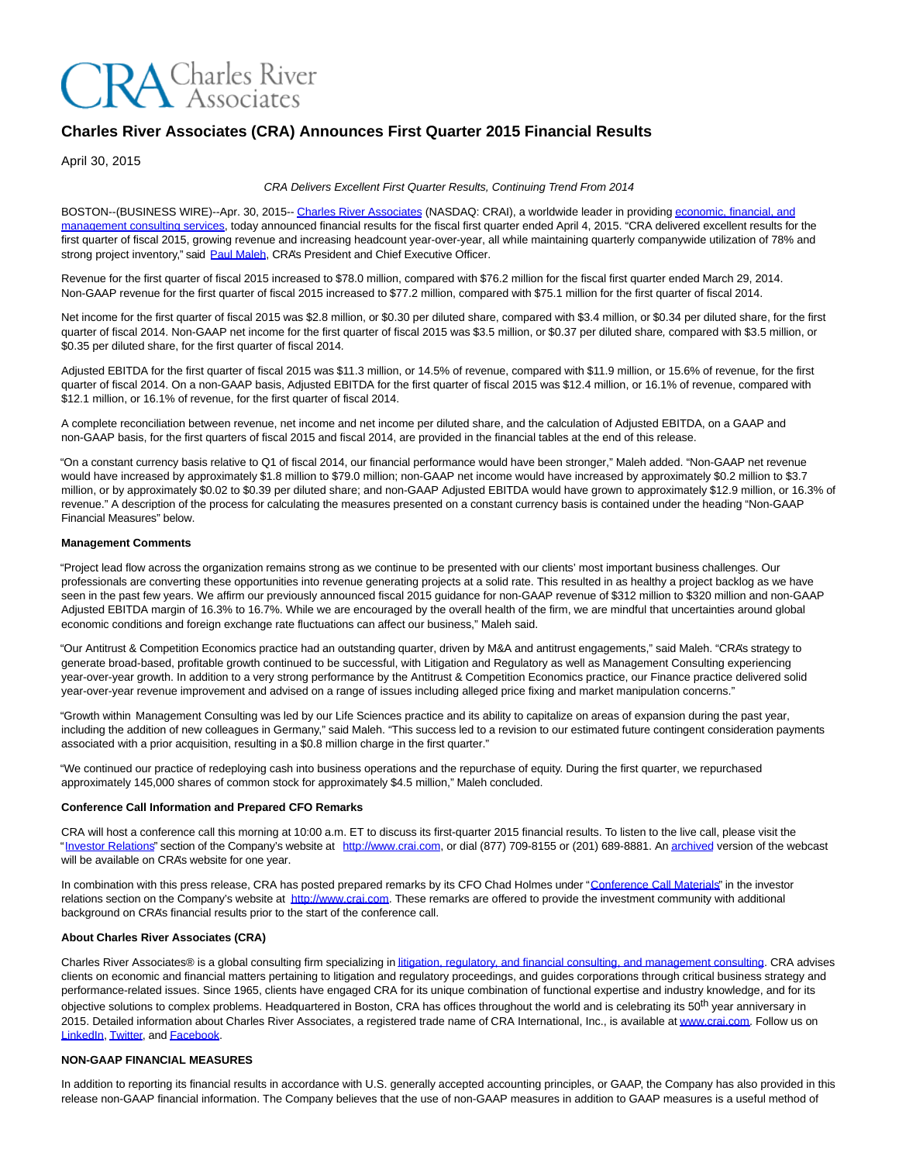# **CRA** Charles River

# **Charles River Associates (CRA) Announces First Quarter 2015 Financial Results**

April 30, 2015

#### CRA Delivers Excellent First Quarter Results, Continuing Trend From 2014

BOSTON--(BUSINESS WIRE)--Apr. 30, 2015-[- Charles River Associates \(](http://cts.businesswire.com/ct/CT?id=smartlink&url=http%3A%2F%2Fwww.crai.com%2FDefault.aspx&esheet=51092034&newsitemid=20150430005674&lan=en-US&anchor=Charles+River+Associates&index=1&md5=b9bb92c8d92d3d2fa677159f73368472)NASDAQ: CRAI), a worldwide leader in providin[g economic, financial, and](http://cts.businesswire.com/ct/CT?id=smartlink&url=http%3A%2F%2Fwww.crai.com%2FConsultingExpertise%2FDefaultCustom.aspx&esheet=51092034&newsitemid=20150430005674&lan=en-US&anchor=economic%2C+financial%2C+and+management+consulting+services&index=2&md5=a6e87642a3cfcbd02da16ea8a8797310) management consulting services, today announced financial results for the fiscal first quarter ended April 4, 2015. "CRA delivered excellent results for the first quarter of fiscal 2015, growing revenue and increasing headcount year-over-year, all while maintaining quarterly companywide utilization of 78% and strong project inventory," said [Paul Maleh,](http://cts.businesswire.com/ct/CT?id=smartlink&url=http%3A%2F%2Fwww.crai.com%2FProfessionalStaff%2Flistingdetails.aspx%3Fid%3D2580&esheet=51092034&newsitemid=20150430005674&lan=en-US&anchor=Paul+Maleh&index=3&md5=77a24dfc2990362b55d3dcfc5d1f96f0) CRA's President and Chief Executive Officer.

Revenue for the first quarter of fiscal 2015 increased to \$78.0 million, compared with \$76.2 million for the fiscal first quarter ended March 29, 2014. Non-GAAP revenue for the first quarter of fiscal 2015 increased to \$77.2 million, compared with \$75.1 million for the first quarter of fiscal 2014.

Net income for the first quarter of fiscal 2015 was \$2.8 million, or \$0.30 per diluted share, compared with \$3.4 million, or \$0.34 per diluted share, for the first quarter of fiscal 2014. Non-GAAP net income for the first quarter of fiscal 2015 was \$3.5 million, or \$0.37 per diluted share, compared with \$3.5 million, or \$0.35 per diluted share, for the first quarter of fiscal 2014.

Adjusted EBITDA for the first quarter of fiscal 2015 was \$11.3 million, or 14.5% of revenue, compared with \$11.9 million, or 15.6% of revenue, for the first quarter of fiscal 2014. On a non-GAAP basis, Adjusted EBITDA for the first quarter of fiscal 2015 was \$12.4 million, or 16.1% of revenue, compared with \$12.1 million, or 16.1% of revenue, for the first quarter of fiscal 2014.

A complete reconciliation between revenue, net income and net income per diluted share, and the calculation of Adjusted EBITDA, on a GAAP and non-GAAP basis, for the first quarters of fiscal 2015 and fiscal 2014, are provided in the financial tables at the end of this release.

"On a constant currency basis relative to Q1 of fiscal 2014, our financial performance would have been stronger," Maleh added. "Non-GAAP net revenue would have increased by approximately \$1.8 million to \$79.0 million; non-GAAP net income would have increased by approximately \$0.2 million to \$3.7 million, or by approximately \$0.02 to \$0.39 per diluted share; and non-GAAP Adjusted EBITDA would have grown to approximately \$12.9 million, or 16.3% of revenue." A description of the process for calculating the measures presented on a constant currency basis is contained under the heading "Non-GAAP Financial Measures" below.

#### **Management Comments**

"Project lead flow across the organization remains strong as we continue to be presented with our clients' most important business challenges. Our professionals are converting these opportunities into revenue generating projects at a solid rate. This resulted in as healthy a project backlog as we have seen in the past few years. We affirm our previously announced fiscal 2015 guidance for non-GAAP revenue of \$312 million to \$320 million and non-GAAP Adjusted EBITDA margin of 16.3% to 16.7%. While we are encouraged by the overall health of the firm, we are mindful that uncertainties around global economic conditions and foreign exchange rate fluctuations can affect our business," Maleh said.

"Our Antitrust & Competition Economics practice had an outstanding quarter, driven by M&A and antitrust engagements," said Maleh. "CRA's strategy to generate broad-based, profitable growth continued to be successful, with Litigation and Regulatory as well as Management Consulting experiencing year-over-year growth. In addition to a very strong performance by the Antitrust & Competition Economics practice, our Finance practice delivered solid year-over-year revenue improvement and advised on a range of issues including alleged price fixing and market manipulation concerns."

"Growth within Management Consulting was led by our Life Sciences practice and its ability to capitalize on areas of expansion during the past year, including the addition of new colleagues in Germany," said Maleh. "This success led to a revision to our estimated future contingent consideration payments associated with a prior acquisition, resulting in a \$0.8 million charge in the first quarter."

"We continued our practice of redeploying cash into business operations and the repurchase of equity. During the first quarter, we repurchased approximately 145,000 shares of common stock for approximately \$4.5 million," Maleh concluded.

#### **Conference Call Information and Prepared CFO Remarks**

CRA will host a conference call this morning at 10:00 a.m. ET to discuss its first-quarter 2015 financial results. To listen to the live call, please visit the ["Investor Relations"](http://cts.businesswire.com/ct/CT?id=smartlink&url=http%3A%2F%2Fphx.corporate-ir.net%2Fphoenix.zhtml%3Fc%3D97435%26p%3Dirol-IRHome&esheet=51092034&newsitemid=20150430005674&lan=en-US&anchor=Investor+Relations&index=4&md5=df66b1df9047e4257a2656aebb161c2c) section of the Company's website at [http://www.crai.com,](http://cts.businesswire.com/ct/CT?id=smartlink&url=http%3A%2F%2Fwww.crai.com%2FDefault.aspx&esheet=51092034&newsitemid=20150430005674&lan=en-US&anchor=http%3A%2F%2Fwww.crai.com&index=5&md5=a24079897e632036a8392b1e279dd5b3) or dial (877) 709-8155 or (201) 689-8881. A[n archived v](http://cts.businesswire.com/ct/CT?id=smartlink&url=http%3A%2F%2Fphx.corporate-ir.net%2Fphoenix.zhtml%3Fc%3D97435%26p%3Dirol-audioarchives&esheet=51092034&newsitemid=20150430005674&lan=en-US&anchor=archived&index=6&md5=c5ddc95f2c64100a32449d331fe5de94)ersion of the webcast will be available on CRA's website for one year.

In combination with this press release, CRA has posted prepared remarks by its CFO Chad Holmes under ["Conference Call Materials"](http://cts.businesswire.com/ct/CT?id=smartlink&url=http%3A%2F%2Fphx.corporate-ir.net%2Fphoenix.zhtml%3Fc%3D97435%26p%3Dirol-presentations&esheet=51092034&newsitemid=20150430005674&lan=en-US&anchor=Conference+Call+Materials&index=7&md5=4c848c56cd33a61f63780a7480c9e0e8) in the investor relations section on the Company's website at [http://www.crai.com.](http://cts.businesswire.com/ct/CT?id=smartlink&url=http%3A%2F%2Fwww.crai.com%2FDefault.aspx&esheet=51092034&newsitemid=20150430005674&lan=en-US&anchor=http%3A%2F%2Fwww.crai.com&index=8&md5=5d6a424bee703ed71c50e001ca5fbb1e) These remarks are offered to provide the investment community with additional background on CRA's financial results prior to the start of the conference call.

# **About Charles River Associates (CRA)**

Charles River Associates® is a global consulting firm specializing i[n litigation, regulatory, and financial consulting, and management consulting.](http://cts.businesswire.com/ct/CT?id=smartlink&url=http%3A%2F%2Fwww.crai.com%2FConsultingExpertise%2FDefaultCustom.aspx&esheet=51092034&newsitemid=20150430005674&lan=en-US&anchor=litigation%2C+regulatory%2C+and+financial+consulting%2C+and+management+consulting&index=9&md5=f648e61cd2ae8bc219999aab2f48db97) CRA advises clients on economic and financial matters pertaining to litigation and regulatory proceedings, and guides corporations through critical business strategy and performance-related issues. Since 1965, clients have engaged CRA for its unique combination of functional expertise and industry knowledge, and for its objective solutions to complex problems. Headquartered in Boston, CRA has offices throughout the world and is celebrating its 50<sup>th</sup> year anniversary in 2015. Detailed information about Charles River Associates, a registered trade name of CRA International, Inc., is available a[t www.crai.com.](http://cts.businesswire.com/ct/CT?id=smartlink&url=http%3A%2F%2Fwww.crai.com&esheet=51092034&newsitemid=20150430005674&lan=en-US&anchor=www.crai.com&index=10&md5=c5949075800bab61b20c620f66642bb8) Follow us on [LinkedIn,](http://cts.businesswire.com/ct/CT?id=smartlink&url=https%3A%2F%2Fwww.linkedin.com%2Fcompany%2Fcharles-river-associates&esheet=51092034&newsitemid=20150430005674&lan=en-US&anchor=LinkedIn&index=11&md5=32938496cace90b16b1377168f0705b0) [Twitter,](http://cts.businesswire.com/ct/CT?id=smartlink&url=https%3A%2F%2Ftwitter.com%2FNews_CRA&esheet=51092034&newsitemid=20150430005674&lan=en-US&anchor=Twitter&index=12&md5=4a2ef47a8a5b311d0c211fc3cc1a2680) and [Facebook.](http://cts.businesswire.com/ct/CT?id=smartlink&url=https%3A%2F%2Fwww.facebook.com%2FCharlesRiverAssociates&esheet=51092034&newsitemid=20150430005674&lan=en-US&anchor=Facebook&index=13&md5=0520a4a9ec45c30497dbc2c89e393068)

# **NON-GAAP FINANCIAL MEASURES**

In addition to reporting its financial results in accordance with U.S. generally accepted accounting principles, or GAAP, the Company has also provided in this release non-GAAP financial information. The Company believes that the use of non-GAAP measures in addition to GAAP measures is a useful method of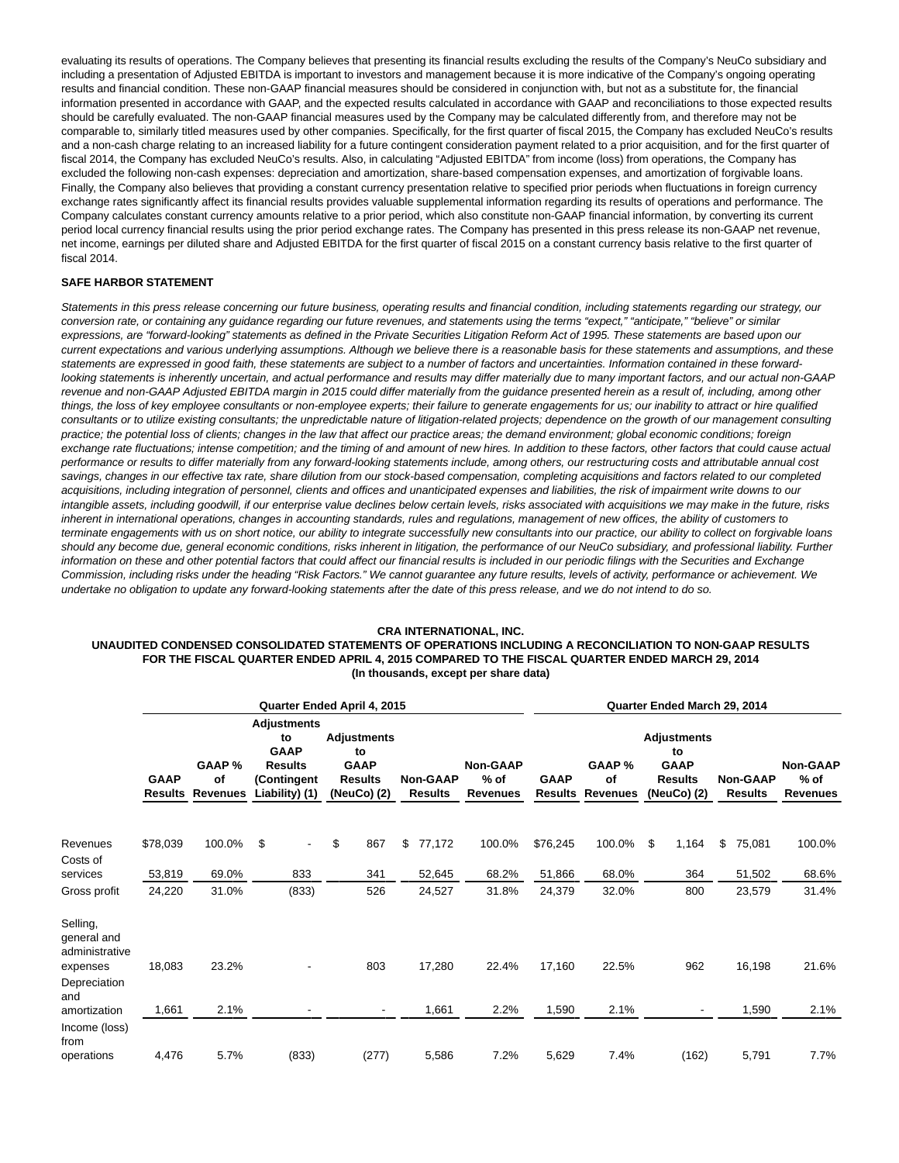evaluating its results of operations. The Company believes that presenting its financial results excluding the results of the Company's NeuCo subsidiary and including a presentation of Adjusted EBITDA is important to investors and management because it is more indicative of the Company's ongoing operating results and financial condition. These non-GAAP financial measures should be considered in conjunction with, but not as a substitute for, the financial information presented in accordance with GAAP, and the expected results calculated in accordance with GAAP and reconciliations to those expected results should be carefully evaluated. The non-GAAP financial measures used by the Company may be calculated differently from, and therefore may not be comparable to, similarly titled measures used by other companies. Specifically, for the first quarter of fiscal 2015, the Company has excluded NeuCo's results and a non-cash charge relating to an increased liability for a future contingent consideration payment related to a prior acquisition, and for the first quarter of fiscal 2014, the Company has excluded NeuCo's results. Also, in calculating "Adjusted EBITDA" from income (loss) from operations, the Company has excluded the following non-cash expenses: depreciation and amortization, share-based compensation expenses, and amortization of forgivable loans. Finally, the Company also believes that providing a constant currency presentation relative to specified prior periods when fluctuations in foreign currency exchange rates significantly affect its financial results provides valuable supplemental information regarding its results of operations and performance. The Company calculates constant currency amounts relative to a prior period, which also constitute non-GAAP financial information, by converting its current period local currency financial results using the prior period exchange rates. The Company has presented in this press release its non-GAAP net revenue, net income, earnings per diluted share and Adjusted EBITDA for the first quarter of fiscal 2015 on a constant currency basis relative to the first quarter of fiscal 2014.

#### **SAFE HARBOR STATEMENT**

Statements in this press release concerning our future business, operating results and financial condition, including statements regarding our strategy, our conversion rate, or containing any guidance regarding our future revenues, and statements using the terms "expect," "anticipate," "believe" or similar expressions, are "forward-looking" statements as defined in the Private Securities Litigation Reform Act of 1995. These statements are based upon our current expectations and various underlying assumptions. Although we believe there is a reasonable basis for these statements and assumptions, and these statements are expressed in good faith, these statements are subject to a number of factors and uncertainties. Information contained in these forwardlooking statements is inherently uncertain, and actual performance and results may differ materially due to many important factors, and our actual non-GAAP revenue and non-GAAP Adjusted EBITDA margin in 2015 could differ materially from the guidance presented herein as a result of, including, among other things, the loss of key employee consultants or non-employee experts; their failure to generate engagements for us; our inability to attract or hire qualified consultants or to utilize existing consultants; the unpredictable nature of litigation-related projects; dependence on the growth of our management consulting practice; the potential loss of clients; changes in the law that affect our practice areas; the demand environment; global economic conditions; foreign exchange rate fluctuations; intense competition; and the timing of and amount of new hires. In addition to these factors, other factors that could cause actual performance or results to differ materially from any forward-looking statements include, among others, our restructuring costs and attributable annual cost savings, changes in our effective tax rate, share dilution from our stock-based compensation, completing acquisitions and factors related to our completed acquisitions, including integration of personnel, clients and offices and unanticipated expenses and liabilities, the risk of impairment write downs to our intangible assets, including goodwill, if our enterprise value declines below certain levels, risks associated with acquisitions we may make in the future, risks inherent in international operations, changes in accounting standards, rules and regulations, management of new offices, the ability of customers to terminate engagements with us on short notice, our ability to integrate successfully new consultants into our practice, our ability to collect on forgivable loans should any become due, general economic conditions, risks inherent in litigation, the performance of our NeuCo subsidiary, and professional liability. Further information on these and other potential factors that could affect our financial results is included in our periodic filings with the Securities and Exchange Commission, including risks under the heading "Risk Factors." We cannot guarantee any future results, levels of activity, performance or achievement. We undertake no obligation to update any forward-looking statements after the date of this press release, and we do not intend to do so.

#### **CRA INTERNATIONAL, INC.**

# **UNAUDITED CONDENSED CONSOLIDATED STATEMENTS OF OPERATIONS INCLUDING A RECONCILIATION TO NON-GAAP RESULTS FOR THE FISCAL QUARTER ENDED APRIL 4, 2015 COMPARED TO THE FISCAL QUARTER ENDED MARCH 29, 2014 (In thousands, except per share data)**

|                                           |             |                                         | Quarter Ended April 4, 2015                                                                | Quarter Ended March 29, 2014                                             |                                   |                                       |                        |                          |    |                                                                          |    |                                   |                                              |
|-------------------------------------------|-------------|-----------------------------------------|--------------------------------------------------------------------------------------------|--------------------------------------------------------------------------|-----------------------------------|---------------------------------------|------------------------|--------------------------|----|--------------------------------------------------------------------------|----|-----------------------------------|----------------------------------------------|
|                                           | <b>GAAP</b> | GAAP %<br>of<br><b>Results Revenues</b> | <b>Adjustments</b><br>to<br><b>GAAP</b><br><b>Results</b><br>(Contingent<br>Liability) (1) | <b>Adjustments</b><br>to<br><b>GAAP</b><br><b>Results</b><br>(NeuCo) (2) | <b>Non-GAAP</b><br><b>Results</b> | <b>Non-GAAP</b><br>$%$ of<br>Revenues | <b>GAAP</b><br>Results | GAAP %<br>of<br>Revenues |    | <b>Adjustments</b><br>to<br><b>GAAP</b><br><b>Results</b><br>(NeuCo) (2) |    | <b>Non-GAAP</b><br><b>Results</b> | <b>Non-GAAP</b><br>$%$ of<br><b>Revenues</b> |
|                                           |             |                                         |                                                                                            |                                                                          |                                   |                                       |                        |                          |    |                                                                          |    |                                   |                                              |
| Revenues                                  | \$78,039    | 100.0%                                  | \$                                                                                         | \$<br>867                                                                | \$<br>77,172                      | 100.0%                                | \$76,245               | 100.0%                   | \$ | 1,164                                                                    | \$ | 75,081                            | 100.0%                                       |
| Costs of<br>services                      | 53,819      | 69.0%                                   | 833                                                                                        | 341                                                                      | 52,645                            | 68.2%                                 | 51,866                 | 68.0%                    |    | 364                                                                      |    | 51,502                            | 68.6%                                        |
|                                           |             |                                         |                                                                                            |                                                                          |                                   |                                       |                        |                          |    |                                                                          |    |                                   |                                              |
| Gross profit                              | 24,220      | 31.0%                                   | (833)                                                                                      | 526                                                                      | 24,527                            | 31.8%                                 | 24,379                 | 32.0%                    |    | 800                                                                      |    | 23,579                            | 31.4%                                        |
| Selling,<br>general and<br>administrative |             |                                         |                                                                                            |                                                                          |                                   |                                       |                        |                          |    |                                                                          |    |                                   |                                              |
| expenses<br>Depreciation<br>and           | 18,083      | 23.2%                                   |                                                                                            | 803                                                                      | 17,280                            | 22.4%                                 | 17,160                 | 22.5%                    |    | 962                                                                      |    | 16,198                            | 21.6%                                        |
| amortization                              | 1,661       | 2.1%                                    |                                                                                            |                                                                          | 1,661                             | 2.2%                                  | 1,590                  | 2.1%                     |    |                                                                          |    | 1,590                             | 2.1%                                         |
| Income (loss)<br>from                     |             |                                         |                                                                                            |                                                                          |                                   |                                       |                        |                          |    |                                                                          |    |                                   |                                              |
| operations                                | 4,476       | 5.7%                                    | (833)                                                                                      | (277)                                                                    | 5,586                             | 7.2%                                  | 5,629                  | 7.4%                     |    | (162)                                                                    |    | 5,791                             | 7.7%                                         |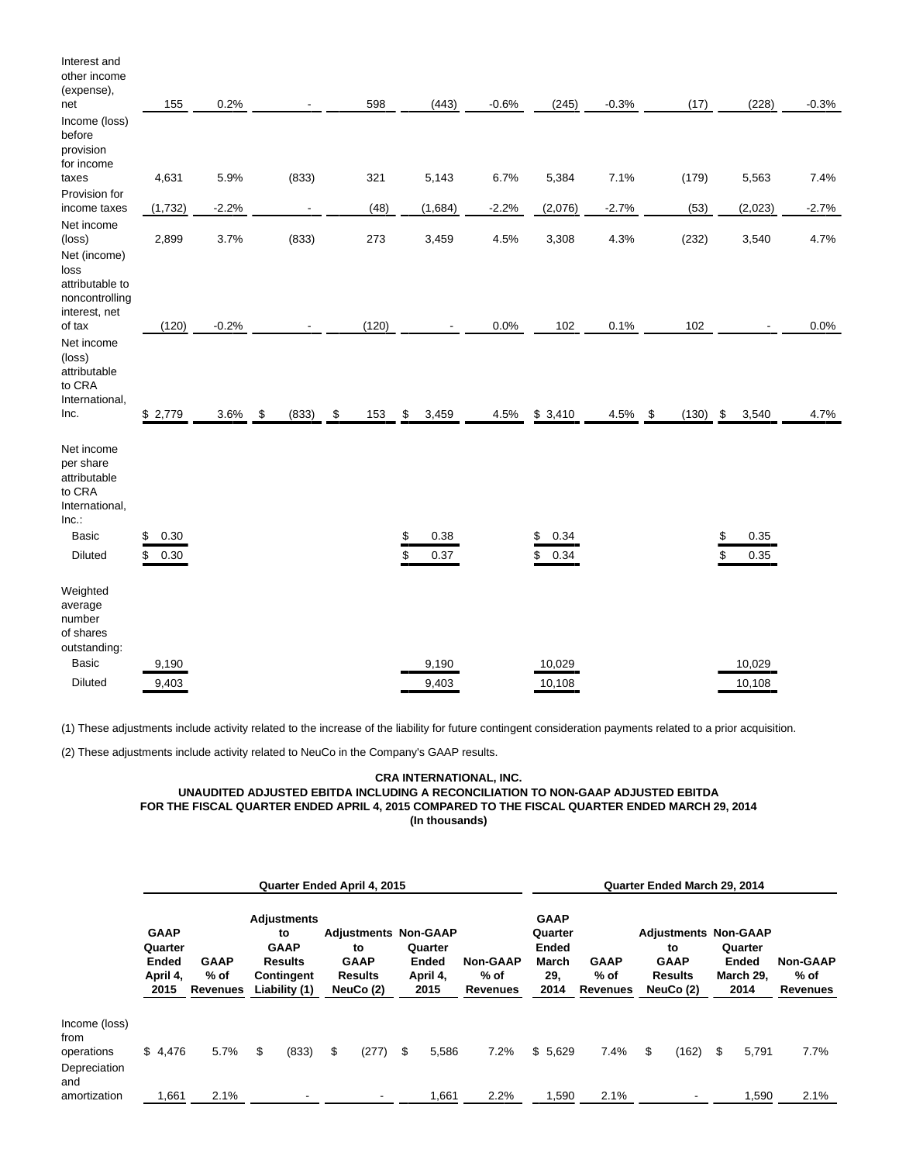| Interest and<br>other income<br>(expense),<br>net                                               | 155                      | 0.2%    |                          | 598                        | (443)                    | $-0.6%$ | (245)                    | $-0.3%$ | (17)        | (228)                    | $-0.3%$ |
|-------------------------------------------------------------------------------------------------|--------------------------|---------|--------------------------|----------------------------|--------------------------|---------|--------------------------|---------|-------------|--------------------------|---------|
| Income (loss)<br>before<br>provision<br>for income                                              |                          |         |                          |                            |                          |         |                          |         |             |                          |         |
| taxes<br>Provision for                                                                          | 4,631                    | 5.9%    | (833)                    | 321                        | 5,143                    | 6.7%    | 5,384                    | 7.1%    | (179)       | 5,563                    | 7.4%    |
| income taxes                                                                                    | (1, 732)                 | $-2.2%$ | $\overline{\phantom{a}}$ | (48)                       | (1,684)                  | $-2.2%$ | (2,076)                  | $-2.7%$ | (53)        | (2,023)                  | $-2.7%$ |
| Net income<br>(loss)<br>Net (income)<br>loss<br>attributable to                                 | 2,899                    | 3.7%    | (833)                    | 273                        | 3,459                    | 4.5%    | 3,308                    | 4.3%    | (232)       | 3,540                    | 4.7%    |
| noncontrolling<br>interest, net                                                                 |                          |         |                          |                            |                          |         |                          |         |             |                          |         |
| of tax                                                                                          | (120)                    | $-0.2%$ |                          | (120)                      |                          | 0.0%    | 102                      | 0.1%    | 102         | $\overline{\phantom{a}}$ | 0.0%    |
| Net income<br>(loss)<br>attributable<br>to CRA<br>International,<br>Inc.                        | \$2,779                  | 3.6%    | \$<br>(833)              | $\pmb{\mathsf{\$}}$<br>153 | \$<br>3,459              | 4.5%    | \$3,410                  | 4.5%    | \$<br>(130) | \$<br>3,540              | 4.7%    |
| Net income<br>per share<br>attributable<br>to CRA<br>International,<br>Inc.<br>Basic<br>Diluted | \$<br>0.30<br>\$<br>0.30 |         |                          |                            | \$<br>0.38<br>\$<br>0.37 |         | \$<br>0.34<br>\$<br>0.34 |         |             | 0.35<br>\$<br>\$<br>0.35 |         |
| Weighted<br>average<br>number<br>of shares<br>outstanding:<br>Basic                             | 9,190                    |         |                          |                            | 9,190                    |         | 10,029                   |         |             | 10,029                   |         |
| <b>Diluted</b>                                                                                  | 9,403                    |         |                          |                            | 9,403                    |         | 10,108                   |         |             | 10,108                   |         |

(1) These adjustments include activity related to the increase of the liability for future contingent consideration payments related to a prior acquisition.

(2) These adjustments include activity related to NeuCo in the Company's GAAP results.

# **CRA INTERNATIONAL, INC. UNAUDITED ADJUSTED EBITDA INCLUDING A RECONCILIATION TO NON-GAAP ADJUSTED EBITDA FOR THE FISCAL QUARTER ENDED APRIL 4, 2015 COMPARED TO THE FISCAL QUARTER ENDED MARCH 29, 2014 (In thousands)**

|                                                            | <b>Quarter Ended April 4, 2015</b>                  |                                 |    |                                                                                          |    |                                                                                 |    |                                      | Quarter Ended March 29, 2014        |                                                                |                                        |    |                                                                                 |    |                                              |                                            |
|------------------------------------------------------------|-----------------------------------------------------|---------------------------------|----|------------------------------------------------------------------------------------------|----|---------------------------------------------------------------------------------|----|--------------------------------------|-------------------------------------|----------------------------------------------------------------|----------------------------------------|----|---------------------------------------------------------------------------------|----|----------------------------------------------|--------------------------------------------|
|                                                            | <b>GAAP</b><br>Quarter<br>Ended<br>April 4,<br>2015 | <b>GAAP</b><br>% of<br>Revenues |    | <b>Adjustments</b><br>to<br><b>GAAP</b><br><b>Results</b><br>Contingent<br>Liability (1) |    | <b>Adjustments Non-GAAP</b><br>to<br><b>GAAP</b><br><b>Results</b><br>NeuCo (2) |    | Quarter<br>Ended<br>April 4,<br>2015 | <b>Non-GAAP</b><br>% of<br>Revenues | <b>GAAP</b><br>Quarter<br><b>Ended</b><br>March<br>29.<br>2014 | <b>GAAP</b><br>% of<br><b>Revenues</b> |    | <b>Adjustments Non-GAAP</b><br>to<br><b>GAAP</b><br><b>Results</b><br>NeuCo (2) |    | Quarter<br><b>Ended</b><br>March 29.<br>2014 | <b>Non-GAAP</b><br>% of<br><b>Revenues</b> |
| Income (loss)<br>from<br>operations<br>Depreciation<br>and | \$4,476                                             | 5.7%                            | \$ | (833)                                                                                    | \$ | (277)                                                                           | \$ | 5,586                                | 7.2%                                | \$5,629                                                        | 7.4%                                   | \$ | (162)                                                                           | \$ | 5,791                                        | 7.7%                                       |
| amortization                                               | 1,661                                               | 2.1%                            |    |                                                                                          |    |                                                                                 |    | 1,661                                | 2.2%                                | 1,590                                                          | 2.1%                                   |    |                                                                                 |    | 1,590                                        | 2.1%                                       |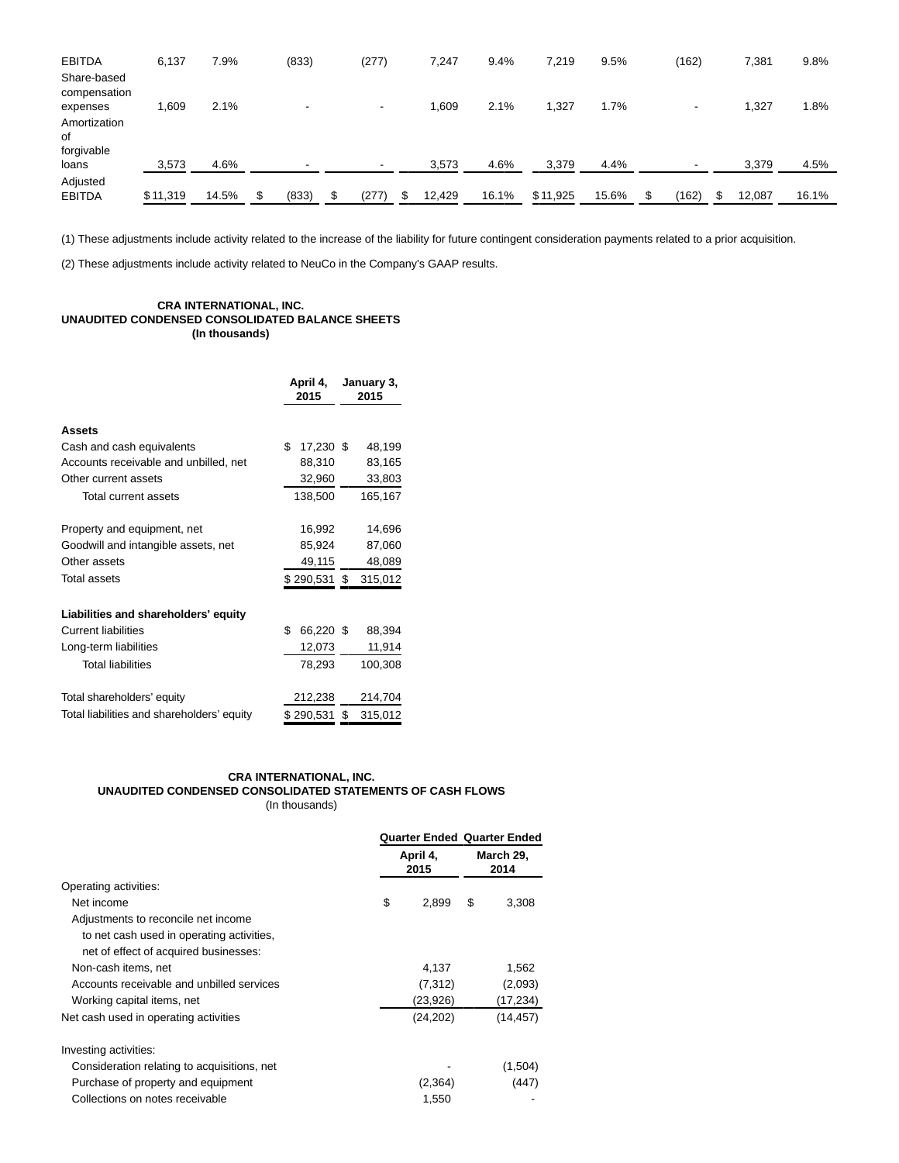| <b>EBITDA</b><br>Share-based                   | 6,137    | 7.9%  | (833)                    | (277)                    | 7,247  | 9.4%  | 7,219    | 9.5%  | (162)      | 7,381       | 9.8%  |
|------------------------------------------------|----------|-------|--------------------------|--------------------------|--------|-------|----------|-------|------------|-------------|-------|
| compensation<br>expenses<br>Amortization<br>0f | 0.609    | 2.1%  | $\overline{\phantom{a}}$ |                          | 1,609  | 2.1%  | 1,327    | 1.7%  |            | 1,327       | 1.8%  |
| forgivable<br>loans                            | 3,573    | 4.6%  |                          | $\overline{\phantom{a}}$ | 3,573  | 4.6%  | 3,379    | 4.4%  |            | 3,379       | 4.5%  |
| Adjusted<br><b>EBITDA</b>                      | \$11,319 | 14.5% | (833)                    | \$<br>(277)              | 12,429 | 16.1% | \$11,925 | 15.6% | (162)<br>S | 12,087<br>S | 16.1% |

(1) These adjustments include activity related to the increase of the liability for future contingent consideration payments related to a prior acquisition.

(2) These adjustments include activity related to NeuCo in the Company's GAAP results.

# **CRA INTERNATIONAL, INC. UNAUDITED CONDENSED CONSOLIDATED BALANCE SHEETS (In thousands)**

|                                            | April 4,<br>2015 | January 3,<br>2015 |  |  |
|--------------------------------------------|------------------|--------------------|--|--|
| <b>Assets</b>                              |                  |                    |  |  |
| Cash and cash equivalents                  | \$<br>17,230 \$  | 48,199             |  |  |
| Accounts receivable and unbilled, net      | 88,310           | 83,165             |  |  |
| Other current assets                       | 32,960           | 33,803             |  |  |
| Total current assets                       | 138,500          | 165,167            |  |  |
| Property and equipment, net                | 16,992           | 14,696             |  |  |
| Goodwill and intangible assets, net        | 85,924           | 87,060             |  |  |
| Other assets                               | 49,115           | 48,089             |  |  |
| <b>Total assets</b>                        | \$290,531        | 315,012<br>\$      |  |  |
| Liabilities and shareholders' equity       |                  |                    |  |  |
| <b>Current liabilities</b>                 | \$<br>66,220 \$  | 88,394             |  |  |
| Long-term liabilities                      | 12,073           | 11,914             |  |  |
| <b>Total liabilities</b>                   | 78,293           | 100,308            |  |  |
| Total shareholders' equity                 | 212,238          | 214,704            |  |  |
| Total liabilities and shareholders' equity | \$290,531        | \$<br>315,012      |  |  |

# **CRA INTERNATIONAL, INC. UNAUDITED CONDENSED CONSOLIDATED STATEMENTS OF CASH FLOWS** (In thousands)

|                                             |          |                   | <b>Quarter Ended Quarter Ended</b> |           |  |
|---------------------------------------------|----------|-------------------|------------------------------------|-----------|--|
|                                             | April 4, | March 29,<br>2014 |                                    |           |  |
| Operating activities:                       |          |                   |                                    |           |  |
| Net income                                  | \$       | 2,899             | \$                                 | 3,308     |  |
| Adjustments to reconcile net income         |          |                   |                                    |           |  |
| to net cash used in operating activities,   |          |                   |                                    |           |  |
| net of effect of acquired businesses:       |          |                   |                                    |           |  |
| Non-cash items, net                         |          | 4,137             |                                    | 1.562     |  |
| Accounts receivable and unbilled services   |          | (7,312)           |                                    | (2,093)   |  |
| Working capital items, net                  |          | (23,926)          |                                    | (17,234)  |  |
| Net cash used in operating activities       |          | (24, 202)         |                                    | (14, 457) |  |
| Investing activities:                       |          |                   |                                    |           |  |
| Consideration relating to acquisitions, net |          |                   |                                    | (1,504)   |  |
| Purchase of property and equipment          |          | (2,364)           |                                    | (447)     |  |
| Collections on notes receivable             |          | 1,550             |                                    |           |  |